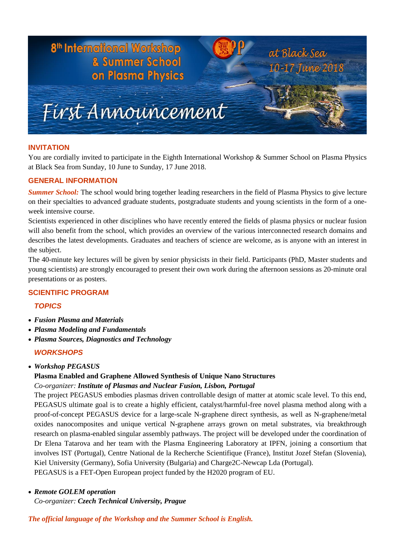

## **INVITATION**

You are cordially invited to participate in the Eighth International Workshop & Summer School on Plasma Physics at Black Sea from Sunday, 10 June to Sunday, 17 June 2018.

## **GENERAL INFORMATION**

*Summer School:* The school would bring together leading researchers in the field of Plasma Physics to give lecture on their specialties to advanced graduate students, postgraduate students and young scientists in the form of a oneweek intensive course.

Scientists experienced in other disciplines who have recently entered the fields of plasma physics or nuclear fusion will also benefit from the school, which provides an overview of the various interconnected research domains and describes the latest developments. Graduates and teachers of science are welcome, as is anyone with an interest in the subject.

The 40-minute key lectures will be given by senior physicists in their field. Participants (PhD, Master students and young scientists) are strongly encouraged to present their own work during the afternoon sessions as 20-minute oral presentations or as posters.

## **SCIENTIFIC PROGRAM**

# *TOPICS*

- *Fusion Plasma and Materials*
- *Plasma Modeling and Fundamentals*
- *Plasma Sources, Diagnostics and Technology*

# *WORKSHOPS*

*Workshop PEGASUS* 

# **Plasma Enabled and Graphene Allowed Synthesis of Unique Nano Structures**

## *Co-organizer: Institute of Plasmas and Nuclear Fusion, Lisbon, Portugal*

The project PEGASUS embodies plasmas driven controllable design of matter at atomic scale level. To this end, PEGASUS ultimate goal is to create a highly efficient, catalyst/harmful-free novel plasma method along with a proof-of-concept PEGASUS device for a large-scale N-graphene direct synthesis, as well as N-graphene/metal oxides nanocomposites and unique vertical N-graphene arrays grown on metal substrates, via breakthrough research on plasma-enabled singular assembly pathways. The project will be developed under the coordination of Dr Elena Tatarova and her team with the Plasma Engineering Laboratory at IPFN, joining a consortium that involves IST (Portugal), Centre National de la Recherche Scientifique (France), Institut Jozef Stefan (Slovenia), Kiel University (Germany), Sofia University (Bulgaria) and Charge2C-Newcap Lda (Portugal). PEGASUS is a FET-Open European project funded by the H2020 program of EU.

## *Remote GOLEM operation*

*Co-organizer: Czech Technical University, Prague*

*The official language of the Workshop and the Summer School is English.*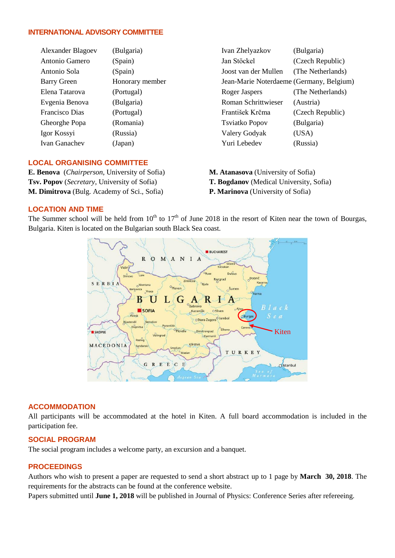## **INTERNATIONAL ADVISORY COMMITTEE**

| <b>Alexander Blagoev</b> | (Bulgaria)      | Ivan Zhelyazkov                          | (Bulgaria)        |
|--------------------------|-----------------|------------------------------------------|-------------------|
| Antonio Gamero           | (Spain)         | Jan Stöckel                              | (Czech Republic)  |
| Antonio Sola             | (Spain)         | Joost van der Mullen                     | (The Netherlands) |
| <b>Barry Green</b>       | Honorary member | Jean-Marie Noterdaeme (Germany, Belgium) |                   |
| Elena Tatarova           | (Portugal)      | Roger Jaspers                            | (The Netherlands) |
| Evgenia Benova           | (Bulgaria)      | <b>Roman Schrittwieser</b>               | (Austria)         |
| Francisco Dias           | (Portugal)      | František Krčma                          | (Czech Republic)  |
| Gheorghe Popa            | (Romania)       | <b>Tsviatko Popov</b>                    | (Bulgaria)        |
| Igor Kossyi              | (Russia)        | Valery Godyak                            | (USA)             |
| Ivan Ganachev            | (Japan)         | Yuri Lebedev                             | (Russia)          |
|                          |                 |                                          |                   |

## **LOCAL ORGANISING COMMITTEE**

**E. Benova** (*Chairperson*, University of Sofia) **Tsv. Popov** (*Secretary*, University of Sofia) **M. Dimitrova** (Bulg. Academy of Sci., Sofia)

**M. Atanasova** (University of Sofia)

- **T. Bogdanov** (Medical University, Sofia)
- **P. Marinova** (University of Sofia)

## **LOCATION AND TIME**

The Summer school will be held from  $10^{th}$  to  $17^{th}$  of June 2018 in the resort of Kiten near the town of Bourgas, Bulgaria. Kiten is located on the Bulgarian south Black Sea coast.



#### **ACCOMMODATION**

All participants will be accommodated at the hotel in Kiten. A full board accommodation is included in the participation fee.

#### **SOCIAL PROGRAM**

The social program includes a welcome party, an excursion and a banquet.

#### **PROCEEDINGS**

Authors who wish to present a paper are requested to send a short abstract up to 1 page by **March 30, 2018**. The requirements for the abstracts can be found at the conference website.

Papers submitted until **June 1, 2018** will be published in Journal of Physics: Conference Series after refereeing.